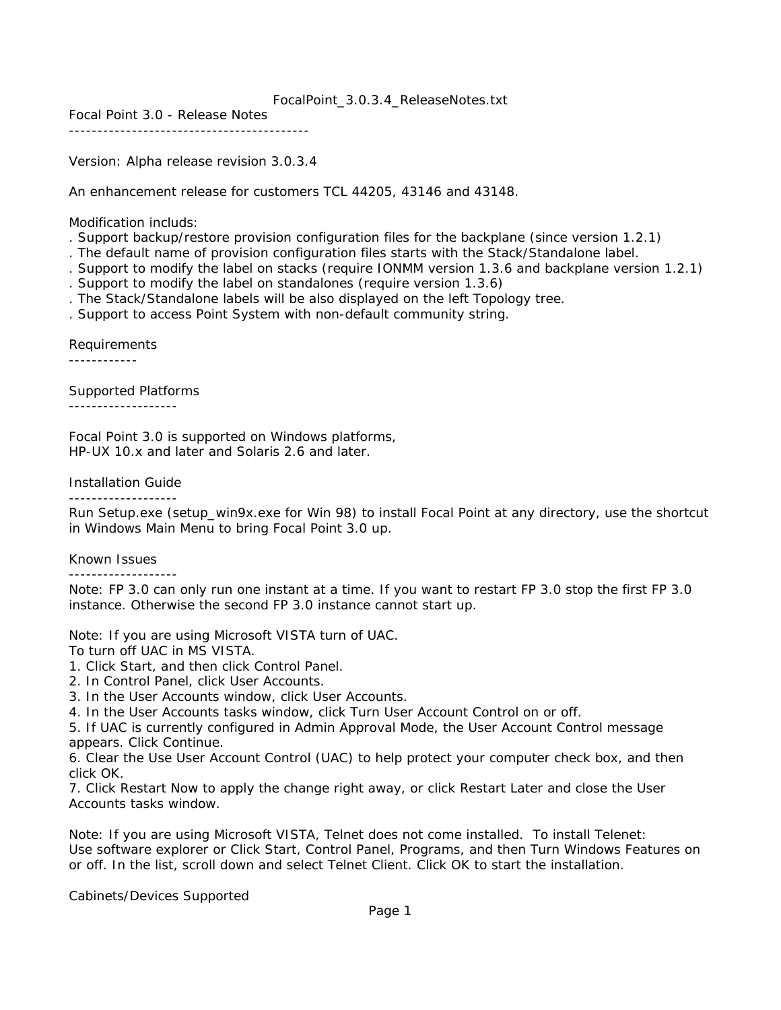## FocalPoint\_3.0.3.4\_ReleaseNotes.txt

Focal Point 3.0 - Release Notes

------------------------------------------

Version: Alpha release revision 3.0.3.4

An enhancement release for customers TCL 44205, 43146 and 43148.

Modification includs:

- . Support backup/restore provision configuration files for the backplane (since version 1.2.1)
- . The default name of provision configuration files starts with the Stack/Standalone label.
- . Support to modify the label on stacks (require IONMM version 1.3.6 and backplane version 1.2.1)
- . Support to modify the label on standalones (require version 1.3.6)
- . The Stack/Standalone labels will be also displayed on the left Topology tree.
- . Support to access Point System with non-default community string.

Requirements

------------

Supported Platforms

-------------------

Focal Point 3.0 is supported on Windows platforms, HP-UX 10.x and later and Solaris 2.6 and later.

Installation Guide -------------------

Run Setup.exe (setup\_win9x.exe for Win 98) to install Focal Point at any directory, use the shortcut in Windows Main Menu to bring Focal Point 3.0 up.

Known Issues

-------------------

Note: FP 3.0 can only run one instant at a time. If you want to restart FP 3.0 stop the first FP 3.0 instance. Otherwise the second FP 3.0 instance cannot start up.

Note: If you are using Microsoft VISTA turn of UAC.

To turn off UAC in MS VISTA.

1. Click Start, and then click Control Panel.

2. In Control Panel, click User Accounts.

3. In the User Accounts window, click User Accounts.

4. In the User Accounts tasks window, click Turn User Account Control on or off.

5. If UAC is currently configured in Admin Approval Mode, the User Account Control message appears. Click Continue.

6. Clear the Use User Account Control (UAC) to help protect your computer check box, and then click OK.

7. Click Restart Now to apply the change right away, or click Restart Later and close the User Accounts tasks window.

Note: If you are using Microsoft VISTA, Telnet does not come installed. To install Telenet: Use software explorer or Click Start, Control Panel, Programs, and then Turn Windows Features on or off. In the list, scroll down and select Telnet Client. Click OK to start the installation.

Cabinets/Devices Supported